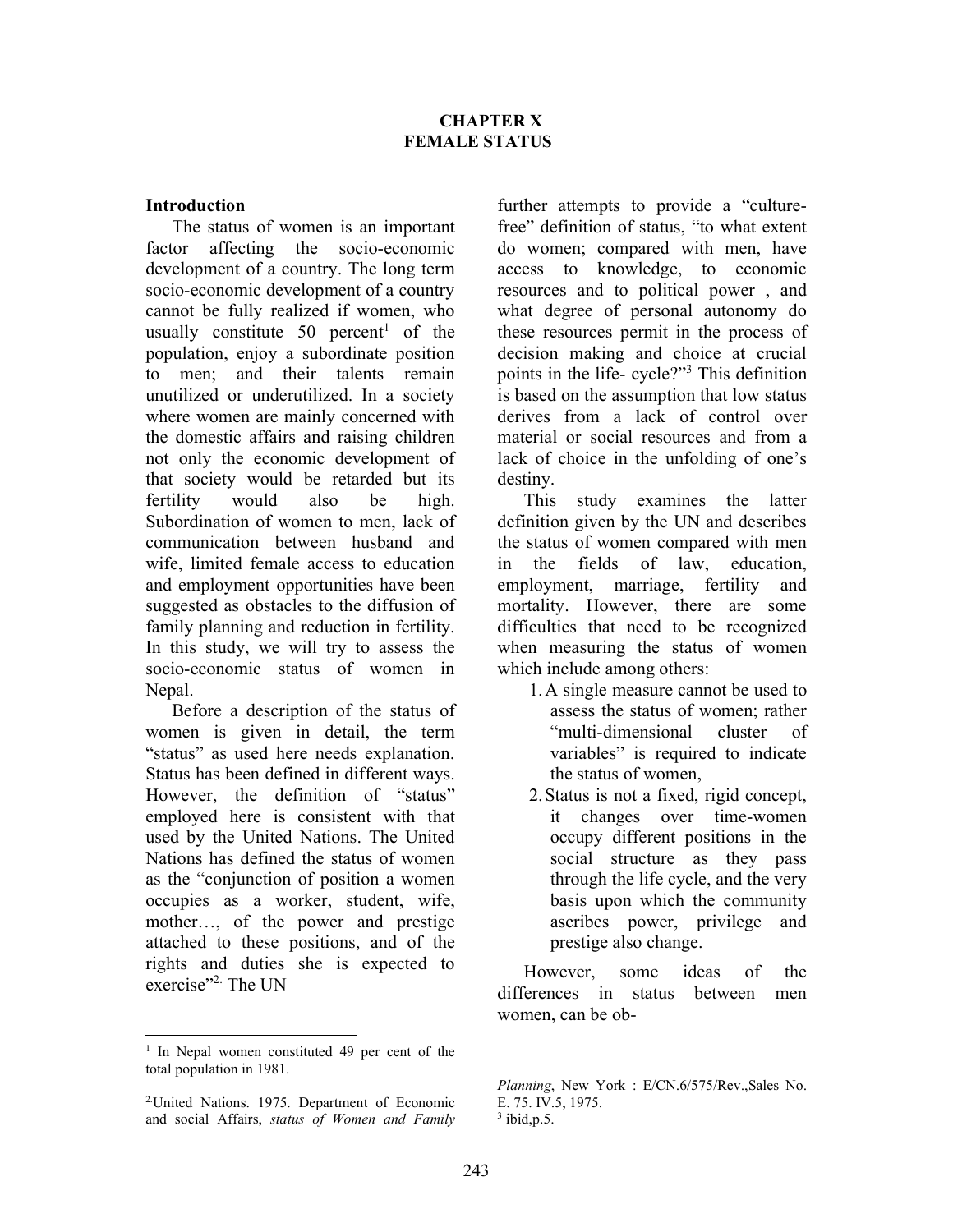### Introduction

The status of women is an important factor affecting the socio-economic development of a country. The long term socio-economic development of a country cannot be fully realized if women, who usually constitute 50 percent<sup>1</sup> of the population, enjoy a subordinate position to men; and their talents remain unutilized or underutilized. In a society where women are mainly concerned with the domestic affairs and raising children not only the economic development of that society would be retarded but its fertility would also be high. Subordination of women to men, lack of communication between husband and wife, limited female access to education and employment opportunities have been suggested as obstacles to the diffusion of family planning and reduction in fertility. In this study, we will try to assess the socio-economic status of women in Nepal.

Before a description of the status of women is given in detail, the term "status" as used here needs explanation. Status has been defined in different ways. However, the definition of "status" employed here is consistent with that used by the United Nations. The United Nations has defined the status of women as the "conjunction of position a women occupies as a worker, student, wife, mother…, of the power and prestige attached to these positions, and of the rights and duties she is expected to exercise"<sup>2.</sup> The UN

further attempts to provide a "culturefree" definition of status, "to what extent do women; compared with men, have access to knowledge, to economic resources and to political power , and what degree of personal autonomy do these resources permit in the process of decision making and choice at crucial points in the life- cycle?"<sup>3</sup> This definition is based on the assumption that low status derives from a lack of control over material or social resources and from a lack of choice in the unfolding of one's destiny.

This study examines the latter definition given by the UN and describes the status of women compared with men in the fields of law, education, employment, marriage, fertility and mortality. However, there are some difficulties that need to be recognized when measuring the status of women which include among others:

- 1.A single measure cannot be used to assess the status of women; rather "multi-dimensional cluster of variables" is required to indicate the status of women,
- 2.Status is not a fixed, rigid concept, it changes over time-women occupy different positions in the social structure as they pass through the life cycle, and the very basis upon which the community ascribes power, privilege and prestige also change.

However, some ideas of the differences in status between men women, can be ob-

<sup>&</sup>lt;sup>1</sup> In Nepal women constituted 49 per cent of the total population in 1981.

<sup>2.</sup>United Nations. 1975. Department of Economic and social Affairs, status of Women and Family

Planning, New York : E/CN.6/575/Rev.,Sales No. E. 75. IV.5, 1975.  $3$  ibid, p.5.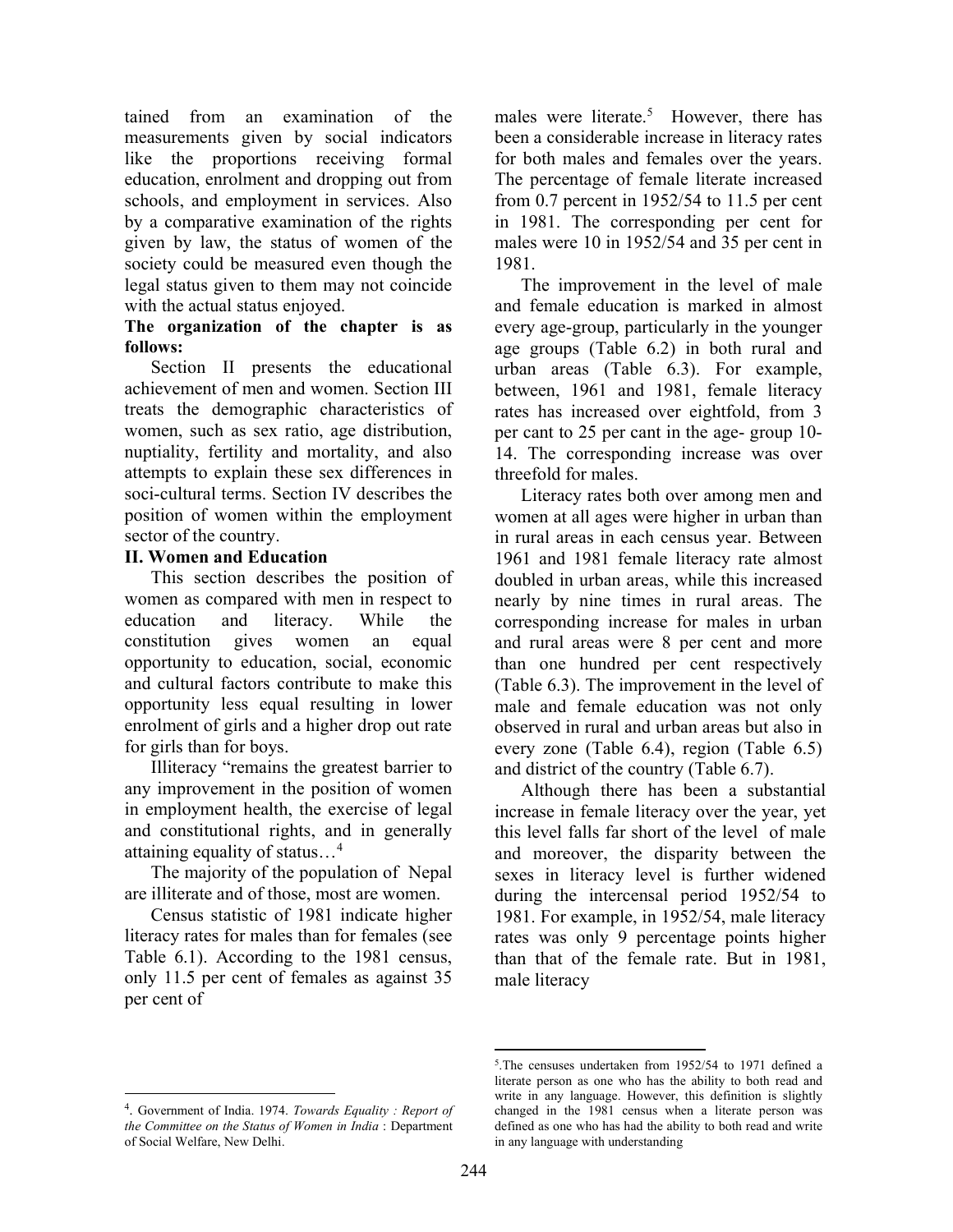tained from an examination of the measurements given by social indicators like the proportions receiving formal education, enrolment and dropping out from schools, and employment in services. Also by a comparative examination of the rights given by law, the status of women of the society could be measured even though the legal status given to them may not coincide with the actual status enjoyed.

### The organization of the chapter is as follows:

Section II presents the educational achievement of men and women. Section III treats the demographic characteristics of women, such as sex ratio, age distribution, nuptiality, fertility and mortality, and also attempts to explain these sex differences in soci-cultural terms. Section IV describes the position of women within the employment sector of the country.

### II. Women and Education

This section describes the position of women as compared with men in respect to education and literacy. While the constitution gives women an equal opportunity to education, social, economic and cultural factors contribute to make this opportunity less equal resulting in lower enrolment of girls and a higher drop out rate for girls than for boys.

Illiteracy "remains the greatest barrier to any improvement in the position of women in employment health, the exercise of legal and constitutional rights, and in generally attaining equality of status…<sup>4</sup>

The majority of the population of Nepal are illiterate and of those, most are women.

Census statistic of 1981 indicate higher literacy rates for males than for females (see Table 6.1). According to the 1981 census, only 11.5 per cent of females as against 35 per cent of

males were literate.<sup>5</sup> However, there has been a considerable increase in literacy rates for both males and females over the years. The percentage of female literate increased from 0.7 percent in 1952/54 to 11.5 per cent in 1981. The corresponding per cent for males were 10 in 1952/54 and 35 per cent in 1981.

The improvement in the level of male and female education is marked in almost every age-group, particularly in the younger age groups (Table 6.2) in both rural and urban areas (Table 6.3). For example, between, 1961 and 1981, female literacy rates has increased over eightfold, from 3 per cant to 25 per cant in the age- group 10- 14. The corresponding increase was over threefold for males.

Literacy rates both over among men and women at all ages were higher in urban than in rural areas in each census year. Between 1961 and 1981 female literacy rate almost doubled in urban areas, while this increased nearly by nine times in rural areas. The corresponding increase for males in urban and rural areas were 8 per cent and more than one hundred per cent respectively (Table 6.3). The improvement in the level of male and female education was not only observed in rural and urban areas but also in every zone (Table 6.4), region (Table 6.5) and district of the country (Table 6.7).

Although there has been a substantial increase in female literacy over the year, yet this level falls far short of the level of male and moreover, the disparity between the sexes in literacy level is further widened during the intercensal period 1952/54 to 1981. For example, in 1952/54, male literacy rates was only 9 percentage points higher than that of the female rate. But in 1981, male literacy

<sup>&</sup>lt;sup>4</sup>. Government of India. 1974. Towards Equality : Report of the Committee on the Status of Women in India : Department of Social Welfare, New Delhi.

<sup>5</sup> .The censuses undertaken from 1952/54 to 1971 defined a literate person as one who has the ability to both read and write in any language. However, this definition is slightly changed in the 1981 census when a literate person was defined as one who has had the ability to both read and write in any language with understanding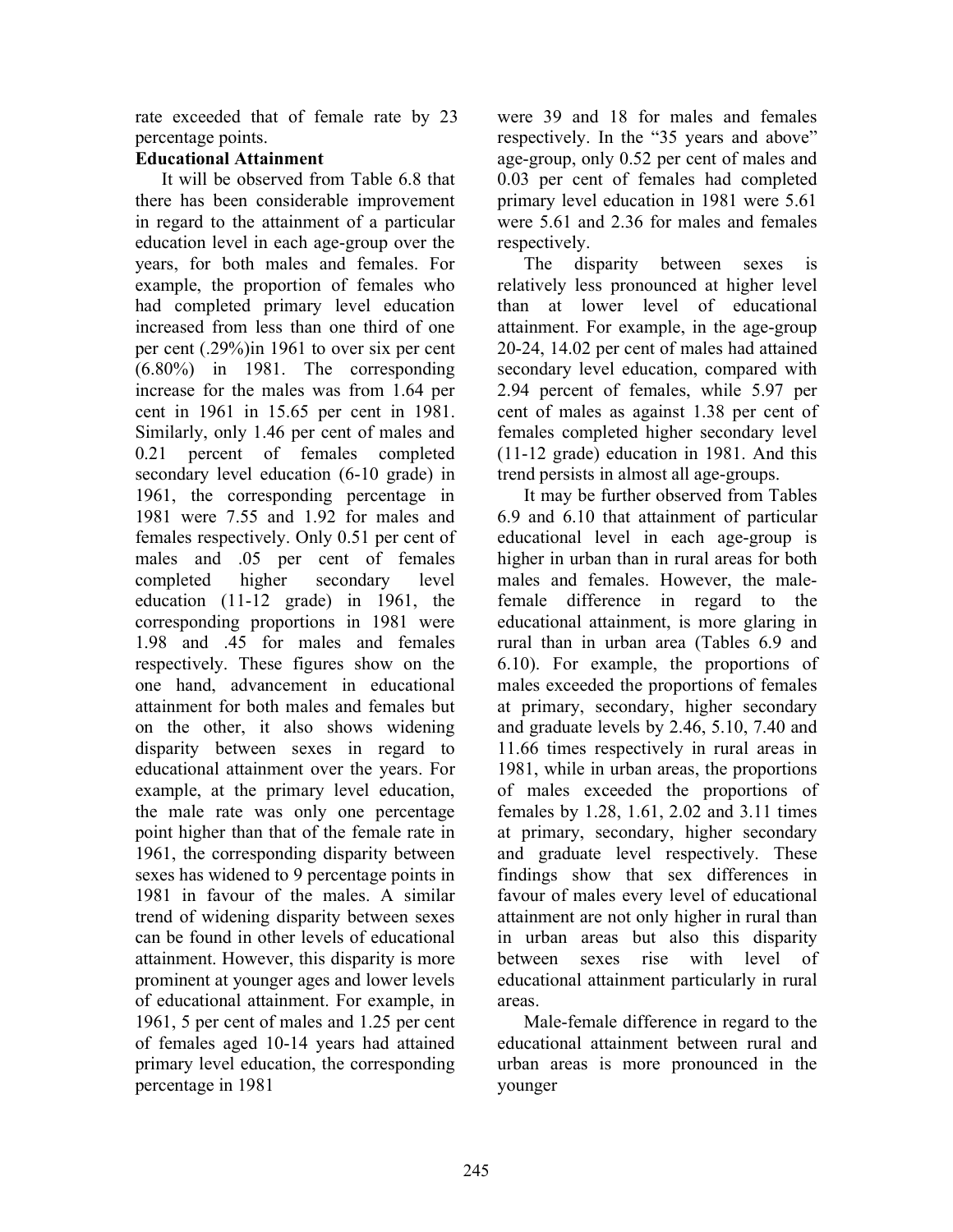rate exceeded that of female rate by 23 percentage points.

### Educational Attainment

It will be observed from Table 6.8 that there has been considerable improvement in regard to the attainment of a particular education level in each age-group over the years, for both males and females. For example, the proportion of females who had completed primary level education increased from less than one third of one per cent (.29%)in 1961 to over six per cent (6.80%) in 1981. The corresponding increase for the males was from 1.64 per cent in 1961 in 15.65 per cent in 1981. Similarly, only 1.46 per cent of males and 0.21 percent of females completed secondary level education (6-10 grade) in 1961, the corresponding percentage in 1981 were 7.55 and 1.92 for males and females respectively. Only 0.51 per cent of males and .05 per cent of females completed higher secondary level education (11-12 grade) in 1961, the corresponding proportions in 1981 were 1.98 and .45 for males and females respectively. These figures show on the one hand, advancement in educational attainment for both males and females but on the other, it also shows widening disparity between sexes in regard to educational attainment over the years. For example, at the primary level education, the male rate was only one percentage point higher than that of the female rate in 1961, the corresponding disparity between sexes has widened to 9 percentage points in 1981 in favour of the males. A similar trend of widening disparity between sexes can be found in other levels of educational attainment. However, this disparity is more prominent at younger ages and lower levels of educational attainment. For example, in 1961, 5 per cent of males and 1.25 per cent of females aged 10-14 years had attained primary level education, the corresponding percentage in 1981

were 39 and 18 for males and females respectively. In the "35 years and above" age-group, only 0.52 per cent of males and 0.03 per cent of females had completed primary level education in 1981 were 5.61 were 5.61 and 2.36 for males and females respectively.

The disparity between sexes is relatively less pronounced at higher level than at lower level of educational attainment. For example, in the age-group 20-24, 14.02 per cent of males had attained secondary level education, compared with 2.94 percent of females, while 5.97 per cent of males as against 1.38 per cent of females completed higher secondary level (11-12 grade) education in 1981. And this trend persists in almost all age-groups.

It may be further observed from Tables 6.9 and 6.10 that attainment of particular educational level in each age-group is higher in urban than in rural areas for both males and females. However, the malefemale difference in regard to the educational attainment, is more glaring in rural than in urban area (Tables 6.9 and 6.10). For example, the proportions of males exceeded the proportions of females at primary, secondary, higher secondary and graduate levels by 2.46, 5.10, 7.40 and 11.66 times respectively in rural areas in 1981, while in urban areas, the proportions of males exceeded the proportions of females by 1.28, 1.61, 2.02 and 3.11 times at primary, secondary, higher secondary and graduate level respectively. These findings show that sex differences in favour of males every level of educational attainment are not only higher in rural than in urban areas but also this disparity between sexes rise with level of educational attainment particularly in rural areas.

Male-female difference in regard to the educational attainment between rural and urban areas is more pronounced in the younger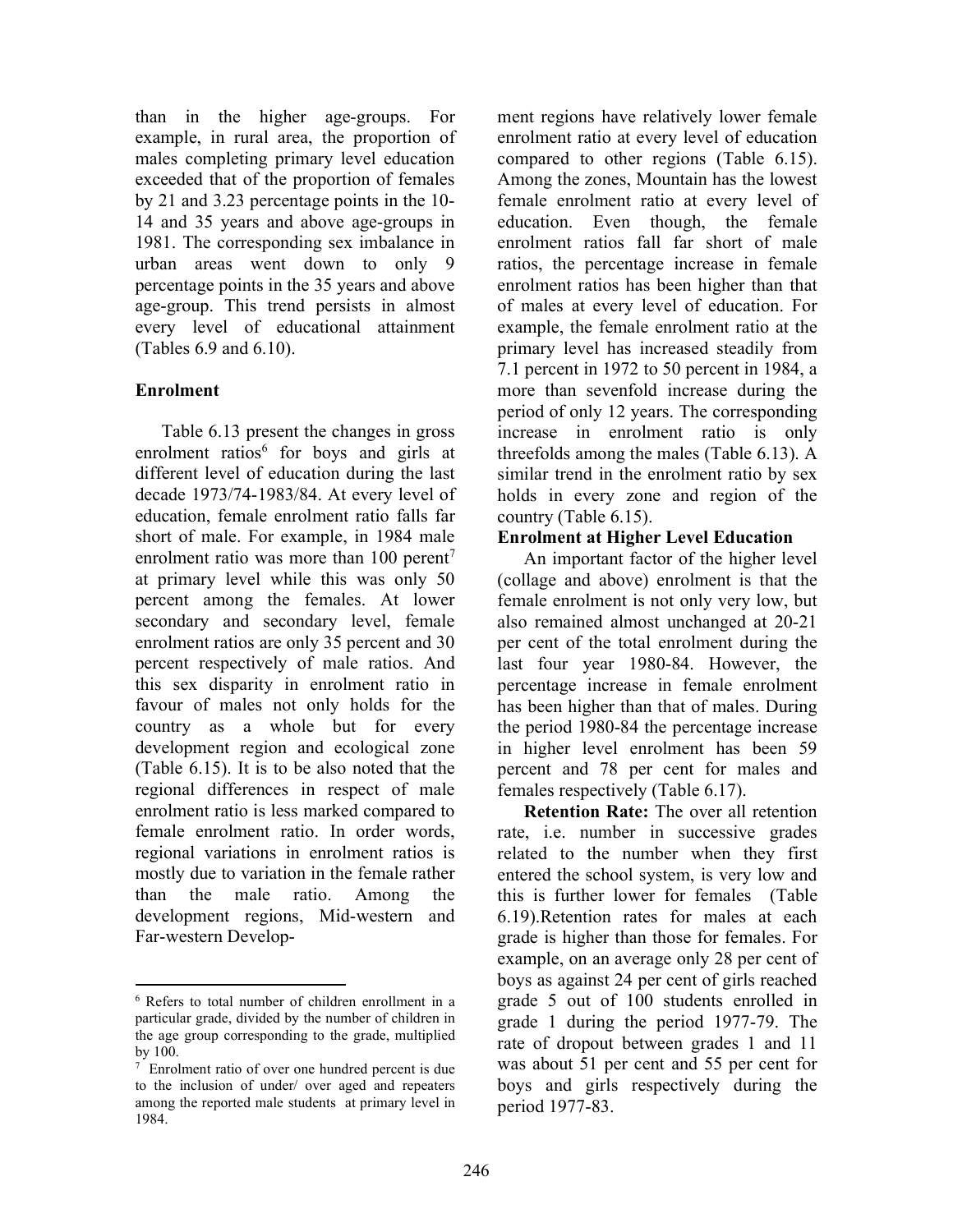than in the higher age-groups. For example, in rural area, the proportion of males completing primary level education exceeded that of the proportion of females by 21 and 3.23 percentage points in the 10- 14 and 35 years and above age-groups in 1981. The corresponding sex imbalance in urban areas went down to only 9 percentage points in the 35 years and above age-group. This trend persists in almost every level of educational attainment (Tables 6.9 and 6.10).

### Enrolment

Table 6.13 present the changes in gross enrolment ratios<sup>6</sup> for boys and girls at different level of education during the last decade 1973/74-1983/84. At every level of education, female enrolment ratio falls far short of male. For example, in 1984 male enrolment ratio was more than  $100$  perent<sup>7</sup> at primary level while this was only 50 percent among the females. At lower secondary and secondary level, female enrolment ratios are only 35 percent and 30 percent respectively of male ratios. And this sex disparity in enrolment ratio in favour of males not only holds for the country as a whole but for every development region and ecological zone (Table 6.15). It is to be also noted that the regional differences in respect of male enrolment ratio is less marked compared to female enrolment ratio. In order words, regional variations in enrolment ratios is mostly due to variation in the female rather than the male ratio. Among the development regions, Mid-western and Far-western Development regions have relatively lower female enrolment ratio at every level of education compared to other regions (Table 6.15). Among the zones, Mountain has the lowest female enrolment ratio at every level of education. Even though, the female enrolment ratios fall far short of male ratios, the percentage increase in female enrolment ratios has been higher than that of males at every level of education. For example, the female enrolment ratio at the primary level has increased steadily from 7.1 percent in 1972 to 50 percent in 1984, a more than sevenfold increase during the period of only 12 years. The corresponding increase in enrolment ratio is only threefolds among the males (Table 6.13). A similar trend in the enrolment ratio by sex holds in every zone and region of the country (Table 6.15).

### Enrolment at Higher Level Education

An important factor of the higher level (collage and above) enrolment is that the female enrolment is not only very low, but also remained almost unchanged at 20-21 per cent of the total enrolment during the last four year 1980-84. However, the percentage increase in female enrolment has been higher than that of males. During the period 1980-84 the percentage increase in higher level enrolment has been 59 percent and 78 per cent for males and females respectively (Table 6.17).

Retention Rate: The over all retention rate, i.e. number in successive grades related to the number when they first entered the school system, is very low and this is further lower for females (Table 6.19).Retention rates for males at each grade is higher than those for females. For example, on an average only 28 per cent of boys as against 24 per cent of girls reached grade 5 out of 100 students enrolled in grade 1 during the period 1977-79. The rate of dropout between grades 1 and 11 was about 51 per cent and 55 per cent for boys and girls respectively during the period 1977-83.

<sup>6</sup> Refers to total number of children enrollment in a particular grade, divided by the number of children in the age group corresponding to the grade, multiplied by 100.

<sup>&</sup>lt;sup>7</sup> Enrolment ratio of over one hundred percent is due to the inclusion of under/ over aged and repeaters among the reported male students at primary level in 1984.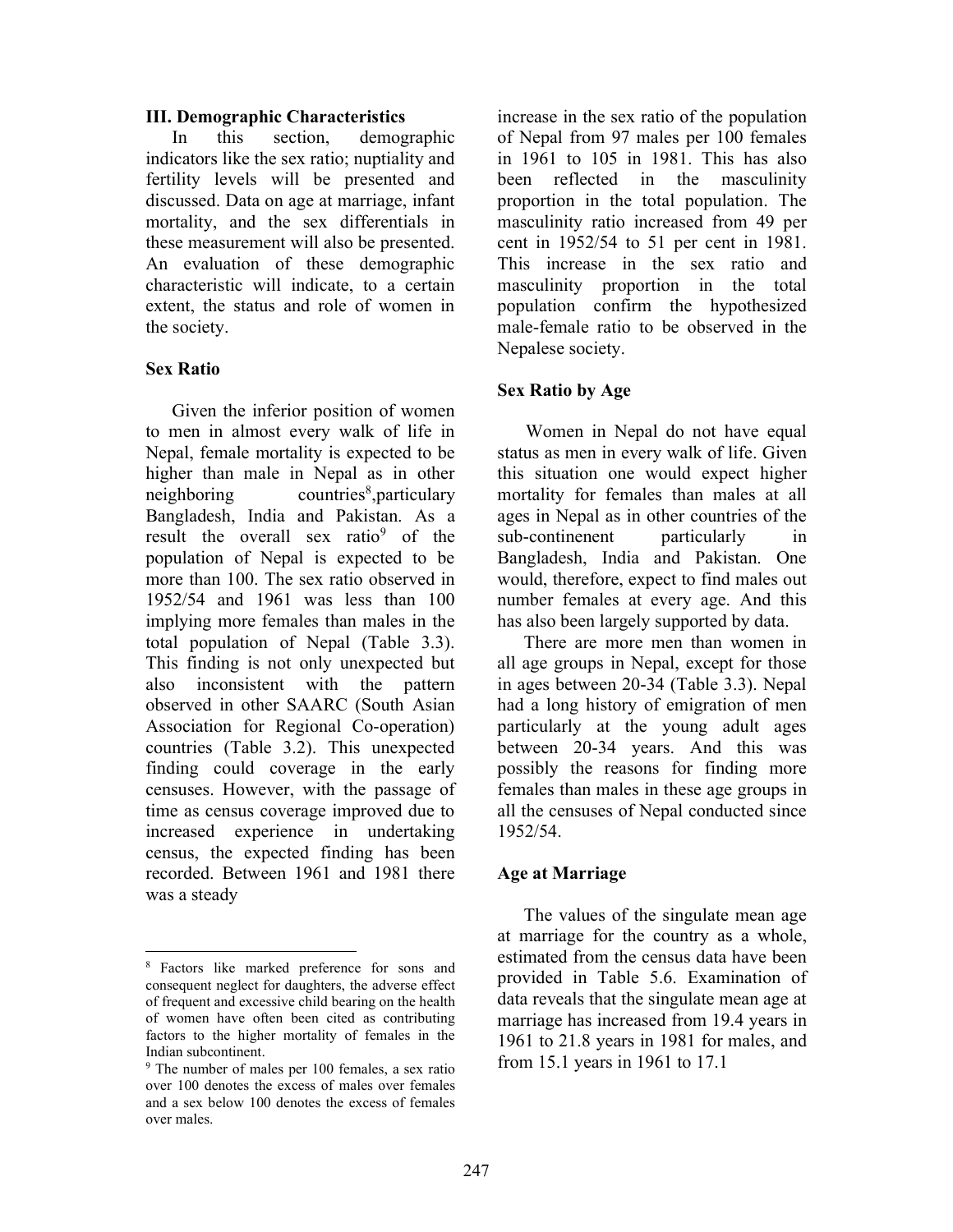#### III. Demographic Characteristics

In this section, demographic indicators like the sex ratio; nuptiality and fertility levels will be presented and discussed. Data on age at marriage, infant mortality, and the sex differentials in these measurement will also be presented. An evaluation of these demographic characteristic will indicate, to a certain extent, the status and role of women in the society.

### Sex Ratio

 Given the inferior position of women to men in almost every walk of life in Nepal, female mortality is expected to be higher than male in Nepal as in other neighboring countries<sup>8</sup>, particulary Bangladesh, India and Pakistan. As a result the overall sex ratio<sup>9</sup> of the population of Nepal is expected to be more than 100. The sex ratio observed in 1952/54 and 1961 was less than 100 implying more females than males in the total population of Nepal (Table 3.3). This finding is not only unexpected but also inconsistent with the pattern observed in other SAARC (South Asian Association for Regional Co-operation) countries (Table 3.2). This unexpected finding could coverage in the early censuses. However, with the passage of time as census coverage improved due to increased experience in undertaking census, the expected finding has been recorded. Between 1961 and 1981 there was a steady

increase in the sex ratio of the population of Nepal from 97 males per 100 females in 1961 to 105 in 1981. This has also been reflected in the masculinity proportion in the total population. The masculinity ratio increased from 49 per cent in 1952/54 to 51 per cent in 1981. This increase in the sex ratio and masculinity proportion in the total population confirm the hypothesized male-female ratio to be observed in the Nepalese society.

## Sex Ratio by Age

Women in Nepal do not have equal status as men in every walk of life. Given this situation one would expect higher mortality for females than males at all ages in Nepal as in other countries of the sub-continenent particularly in Bangladesh, India and Pakistan. One would, therefore, expect to find males out number females at every age. And this has also been largely supported by data.

 There are more men than women in all age groups in Nepal, except for those in ages between 20-34 (Table 3.3). Nepal had a long history of emigration of men particularly at the young adult ages between 20-34 years. And this was possibly the reasons for finding more females than males in these age groups in all the censuses of Nepal conducted since 1952/54.

### Age at Marriage

 The values of the singulate mean age at marriage for the country as a whole, estimated from the census data have been provided in Table 5.6. Examination of data reveals that the singulate mean age at marriage has increased from 19.4 years in 1961 to 21.8 years in 1981 for males, and from 15.1 years in 1961 to 17.1

<sup>8</sup> Factors like marked preference for sons and consequent neglect for daughters, the adverse effect of frequent and excessive child bearing on the health of women have often been cited as contributing factors to the higher mortality of females in the Indian subcontinent.

<sup>&</sup>lt;sup>9</sup> The number of males per 100 females, a sex ratio over 100 denotes the excess of males over females and a sex below 100 denotes the excess of females over males.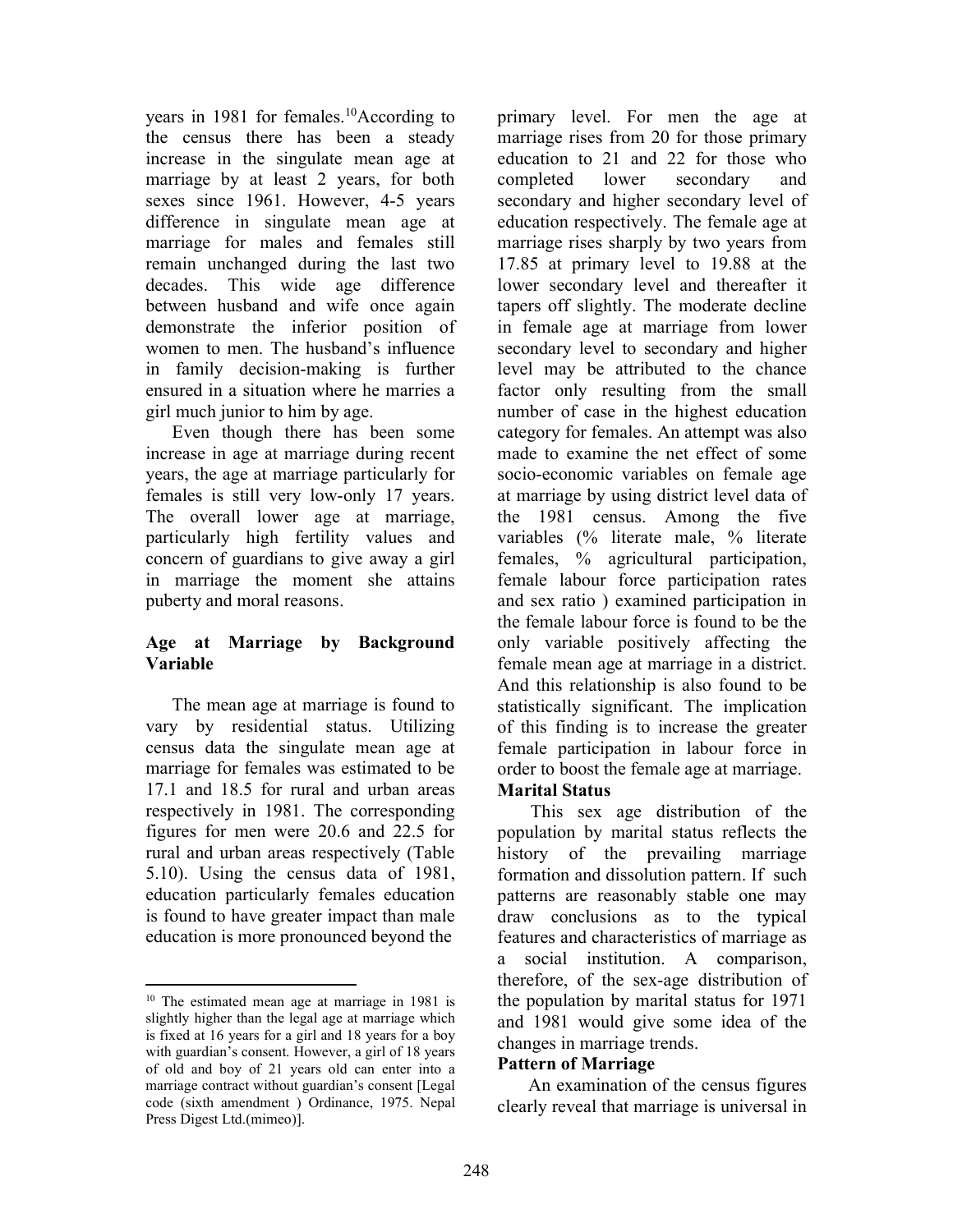years in 1981 for females.<sup>10</sup>According to the census there has been a steady increase in the singulate mean age at marriage by at least 2 years, for both sexes since 1961. However, 4-5 years difference in singulate mean age at marriage for males and females still remain unchanged during the last two decades. This wide age difference between husband and wife once again demonstrate the inferior position of women to men. The husband's influence in family decision-making is further ensured in a situation where he marries a girl much junior to him by age.

 Even though there has been some increase in age at marriage during recent years, the age at marriage particularly for females is still very low-only 17 years. The overall lower age at marriage, particularly high fertility values and concern of guardians to give away a girl in marriage the moment she attains puberty and moral reasons.

## Age at Marriage by Background Variable

 The mean age at marriage is found to vary by residential status. Utilizing census data the singulate mean age at marriage for females was estimated to be 17.1 and 18.5 for rural and urban areas respectively in 1981. The corresponding figures for men were 20.6 and 22.5 for rural and urban areas respectively (Table 5.10). Using the census data of 1981, education particularly females education is found to have greater impact than male education is more pronounced beyond the

primary level. For men the age at marriage rises from 20 for those primary education to 21 and 22 for those who completed lower secondary and secondary and higher secondary level of education respectively. The female age at marriage rises sharply by two years from 17.85 at primary level to 19.88 at the lower secondary level and thereafter it tapers off slightly. The moderate decline in female age at marriage from lower secondary level to secondary and higher level may be attributed to the chance factor only resulting from the small number of case in the highest education category for females. An attempt was also made to examine the net effect of some socio-economic variables on female age at marriage by using district level data of the 1981 census. Among the five variables (% literate male, % literate females, % agricultural participation, female labour force participation rates and sex ratio ) examined participation in the female labour force is found to be the only variable positively affecting the female mean age at marriage in a district. And this relationship is also found to be statistically significant. The implication of this finding is to increase the greater female participation in labour force in order to boost the female age at marriage.

# Marital Status

 This sex age distribution of the population by marital status reflects the history of the prevailing marriage formation and dissolution pattern. If such patterns are reasonably stable one may draw conclusions as to the typical features and characteristics of marriage as a social institution. A comparison, therefore, of the sex-age distribution of the population by marital status for 1971 and 1981 would give some idea of the changes in marriage trends.

### Pattern of Marriage

 An examination of the census figures clearly reveal that marriage is universal in

<sup>&</sup>lt;sup>10</sup> The estimated mean age at marriage in 1981 is slightly higher than the legal age at marriage which is fixed at 16 years for a girl and 18 years for a boy with guardian's consent. However, a girl of 18 years of old and boy of 21 years old can enter into a marriage contract without guardian's consent [Legal code (sixth amendment ) Ordinance, 1975. Nepal Press Digest Ltd.(mimeo)].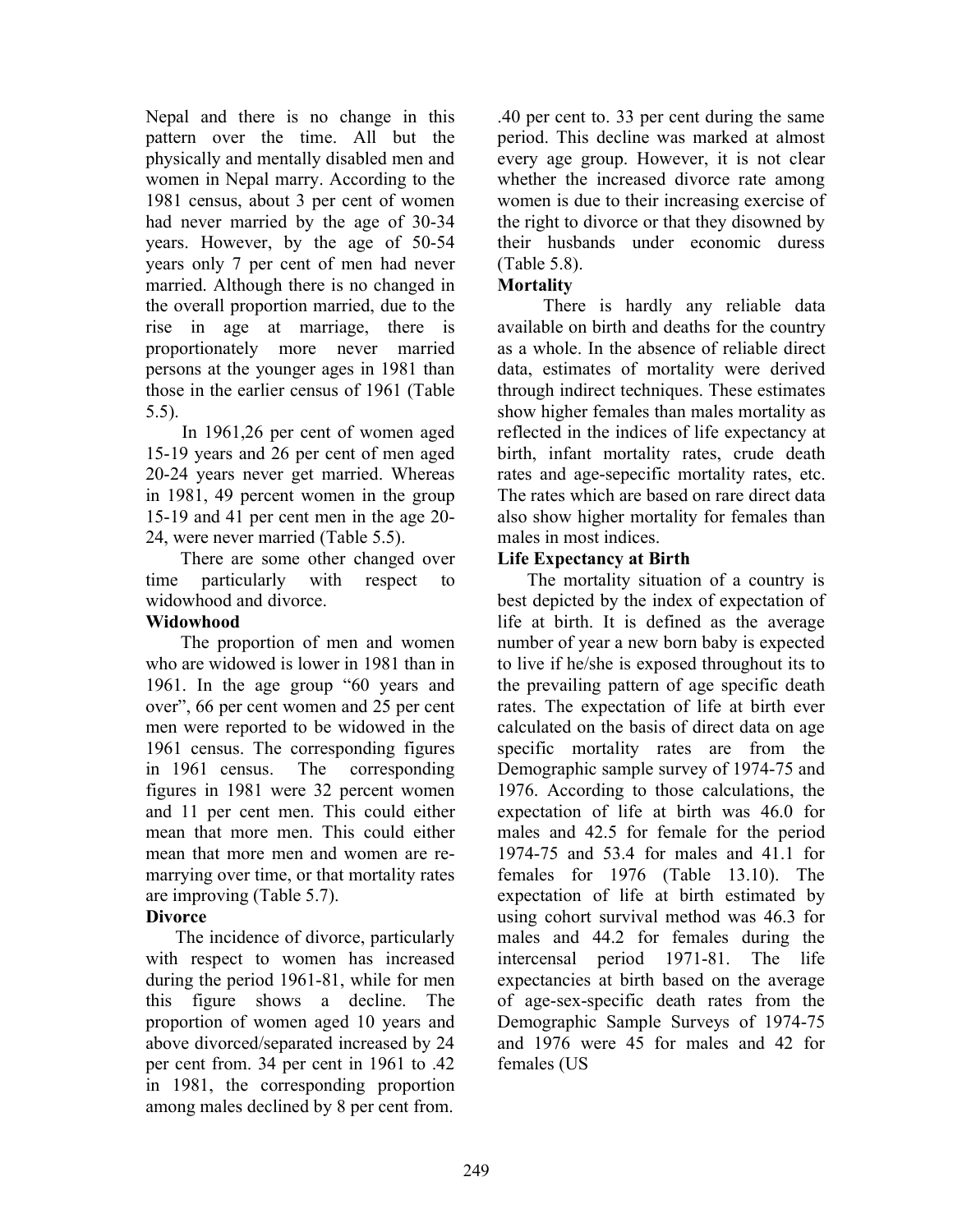Nepal and there is no change in this pattern over the time. All but the physically and mentally disabled men and women in Nepal marry. According to the 1981 census, about 3 per cent of women had never married by the age of 30-34 years. However, by the age of 50-54 years only 7 per cent of men had never married. Although there is no changed in the overall proportion married, due to the rise in age at marriage, there is proportionately more never married persons at the younger ages in 1981 than those in the earlier census of 1961 (Table 5.5).

In 1961,26 per cent of women aged 15-19 years and 26 per cent of men aged 20-24 years never get married. Whereas in 1981, 49 percent women in the group 15-19 and 41 per cent men in the age 20- 24, were never married (Table 5.5).

 There are some other changed over time particularly with respect to widowhood and divorce.

# Widowhood

The proportion of men and women who are widowed is lower in 1981 than in 1961. In the age group "60 years and over", 66 per cent women and 25 per cent men were reported to be widowed in the 1961 census. The corresponding figures in 1961 census. The corresponding figures in 1981 were 32 percent women and 11 per cent men. This could either mean that more men. This could either mean that more men and women are remarrying over time, or that mortality rates are improving (Table 5.7).

# **Divorce**

The incidence of divorce, particularly with respect to women has increased during the period 1961-81, while for men this figure shows a decline. The proportion of women aged 10 years and above divorced/separated increased by 24 per cent from. 34 per cent in 1961 to .42 in 1981, the corresponding proportion among males declined by 8 per cent from.

.40 per cent to. 33 per cent during the same period. This decline was marked at almost every age group. However, it is not clear whether the increased divorce rate among women is due to their increasing exercise of the right to divorce or that they disowned by their husbands under economic duress (Table 5.8).

# **Mortality**

 There is hardly any reliable data available on birth and deaths for the country as a whole. In the absence of reliable direct data, estimates of mortality were derived through indirect techniques. These estimates show higher females than males mortality as reflected in the indices of life expectancy at birth, infant mortality rates, crude death rates and age-sepecific mortality rates, etc. The rates which are based on rare direct data also show higher mortality for females than males in most indices.

# Life Expectancy at Birth

The mortality situation of a country is best depicted by the index of expectation of life at birth. It is defined as the average number of year a new born baby is expected to live if he/she is exposed throughout its to the prevailing pattern of age specific death rates. The expectation of life at birth ever calculated on the basis of direct data on age specific mortality rates are from the Demographic sample survey of 1974-75 and 1976. According to those calculations, the expectation of life at birth was 46.0 for males and 42.5 for female for the period 1974-75 and 53.4 for males and 41.1 for females for 1976 (Table 13.10). The expectation of life at birth estimated by using cohort survival method was 46.3 for males and 44.2 for females during the intercensal period 1971-81. The life expectancies at birth based on the average of age-sex-specific death rates from the Demographic Sample Surveys of 1974-75 and 1976 were 45 for males and 42 for females (US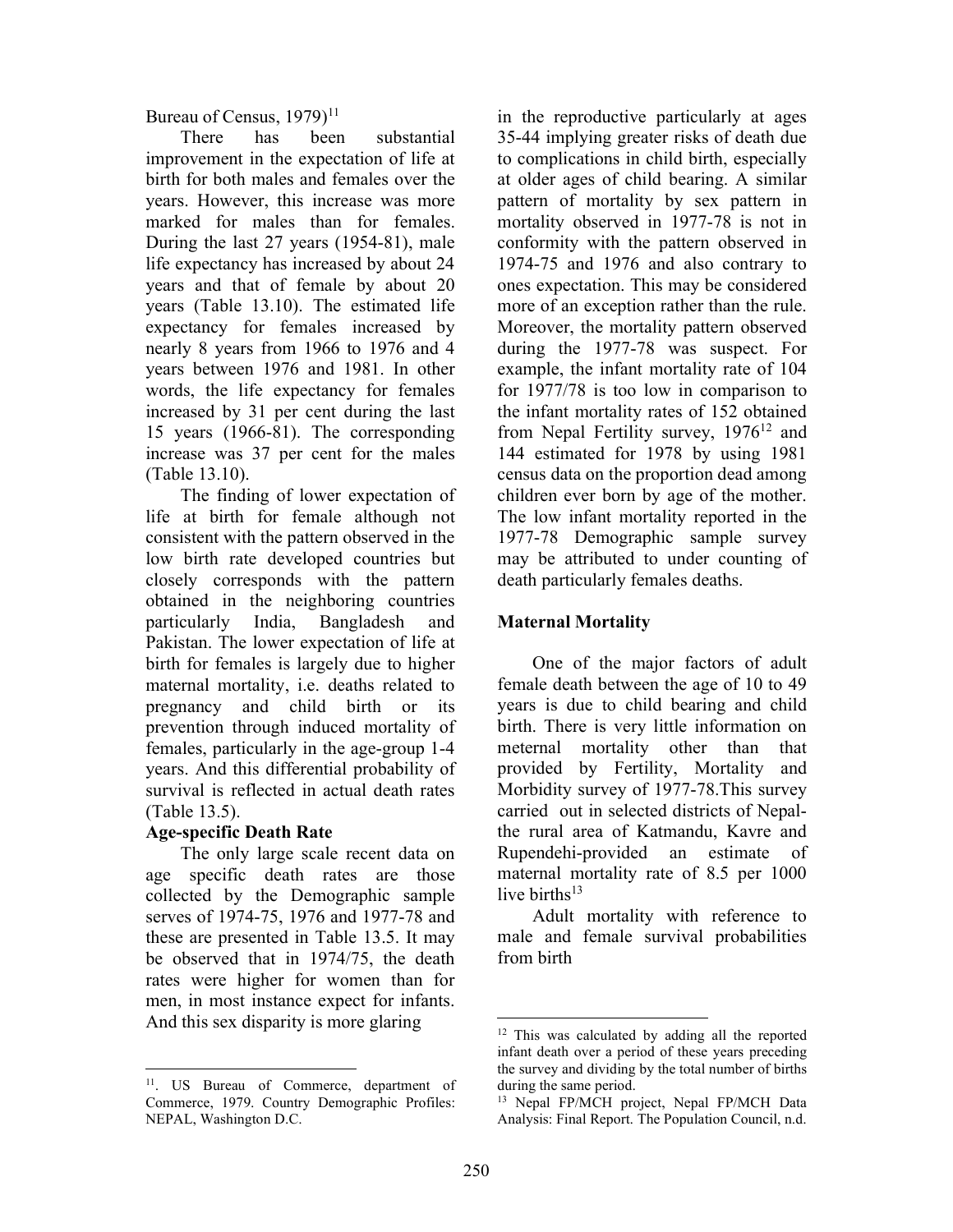Bureau of Census,  $1979$ <sup> $11$ </sup>

 There has been substantial improvement in the expectation of life at birth for both males and females over the years. However, this increase was more marked for males than for females. During the last 27 years (1954-81), male life expectancy has increased by about 24 years and that of female by about 20 years (Table 13.10). The estimated life expectancy for females increased by nearly 8 years from 1966 to 1976 and 4 years between 1976 and 1981. In other words, the life expectancy for females increased by 31 per cent during the last 15 years (1966-81). The corresponding increase was 37 per cent for the males (Table 13.10).

 The finding of lower expectation of life at birth for female although not consistent with the pattern observed in the low birth rate developed countries but closely corresponds with the pattern obtained in the neighboring countries particularly India, Bangladesh and Pakistan. The lower expectation of life at birth for females is largely due to higher maternal mortality, i.e. deaths related to pregnancy and child birth or its prevention through induced mortality of females, particularly in the age-group 1-4 years. And this differential probability of survival is reflected in actual death rates (Table 13.5).

# Age-specific Death Rate

 The only large scale recent data on age specific death rates are those collected by the Demographic sample serves of 1974-75, 1976 and 1977-78 and these are presented in Table 13.5. It may be observed that in 1974/75, the death rates were higher for women than for men, in most instance expect for infants. And this sex disparity is more glaring

in the reproductive particularly at ages 35-44 implying greater risks of death due to complications in child birth, especially at older ages of child bearing. A similar pattern of mortality by sex pattern in mortality observed in 1977-78 is not in conformity with the pattern observed in 1974-75 and 1976 and also contrary to ones expectation. This may be considered more of an exception rather than the rule. Moreover, the mortality pattern observed during the 1977-78 was suspect. For example, the infant mortality rate of 104 for 1977/78 is too low in comparison to the infant mortality rates of 152 obtained from Nepal Fertility survey,  $1976^{12}$  and 144 estimated for 1978 by using 1981 census data on the proportion dead among children ever born by age of the mother. The low infant mortality reported in the 1977-78 Demographic sample survey may be attributed to under counting of death particularly females deaths.

# Maternal Mortality

 One of the major factors of adult female death between the age of 10 to 49 years is due to child bearing and child birth. There is very little information on meternal mortality other than that provided by Fertility, Mortality and Morbidity survey of 1977-78.This survey carried out in selected districts of Nepalthe rural area of Katmandu, Kavre and Rupendehi-provided an estimate of maternal mortality rate of 8.5 per 1000 live births $13$ 

 Adult mortality with reference to male and female survival probabilities from birth

<sup>11</sup>. US Bureau of Commerce, department of Commerce, 1979. Country Demographic Profiles: NEPAL, Washington D.C.

<sup>&</sup>lt;sup>12</sup> This was calculated by adding all the reported infant death over a period of these years preceding the survey and dividing by the total number of births during the same period.

<sup>&</sup>lt;sup>13</sup> Nepal FP/MCH project, Nepal FP/MCH Data Analysis: Final Report. The Population Council, n.d.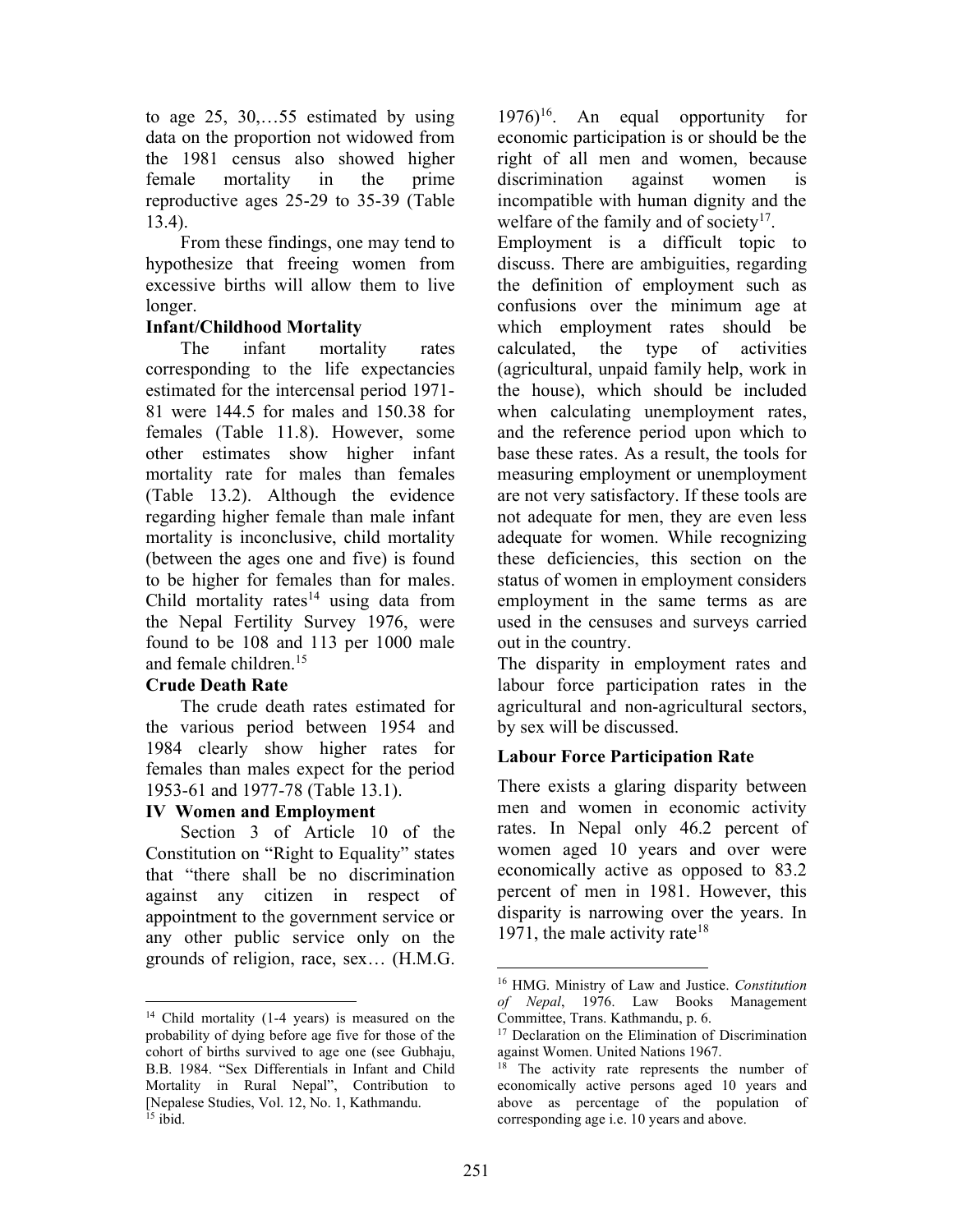to age 25, 30,…55 estimated by using data on the proportion not widowed from the 1981 census also showed higher female mortality in the prime reproductive ages 25-29 to 35-39 (Table 13.4).

 From these findings, one may tend to hypothesize that freeing women from excessive births will allow them to live longer.

## Infant/Childhood Mortality

 The infant mortality rates corresponding to the life expectancies estimated for the intercensal period 1971- 81 were 144.5 for males and 150.38 for females (Table 11.8). However, some other estimates show higher infant mortality rate for males than females (Table 13.2). Although the evidence regarding higher female than male infant mortality is inconclusive, child mortality (between the ages one and five) is found to be higher for females than for males. Child mortality rates<sup>14</sup> using data from the Nepal Fertility Survey 1976, were found to be 108 and 113 per 1000 male and female children.<sup>15</sup>

# Crude Death Rate

 The crude death rates estimated for the various period between 1954 and 1984 clearly show higher rates for females than males expect for the period 1953-61 and 1977-78 (Table 13.1).

### IV Women and Employment

 Section 3 of Article 10 of the Constitution on "Right to Equality" states that "there shall be no discrimination against any citizen in respect of appointment to the government service or any other public service only on the grounds of religion, race, sex… (H.M.G.

 $1976$ <sup>16</sup>. An equal opportunity for economic participation is or should be the right of all men and women, because discrimination against women is incompatible with human dignity and the welfare of the family and of society<sup>17</sup>.

Employment is a difficult topic to discuss. There are ambiguities, regarding the definition of employment such as confusions over the minimum age at which employment rates should be calculated, the type of activities (agricultural, unpaid family help, work in the house), which should be included when calculating unemployment rates, and the reference period upon which to base these rates. As a result, the tools for measuring employment or unemployment are not very satisfactory. If these tools are not adequate for men, they are even less adequate for women. While recognizing these deficiencies, this section on the status of women in employment considers employment in the same terms as are used in the censuses and surveys carried out in the country.

The disparity in employment rates and labour force participation rates in the agricultural and non-agricultural sectors, by sex will be discussed.

# Labour Force Participation Rate

There exists a glaring disparity between men and women in economic activity rates. In Nepal only 46.2 percent of women aged 10 years and over were economically active as opposed to 83.2 percent of men in 1981. However, this disparity is narrowing over the years. In 1971, the male activity rate<sup>18</sup>

<sup>&</sup>lt;sup>14</sup> Child mortality (1-4 years) is measured on the probability of dying before age five for those of the cohort of births survived to age one (see Gubhaju, B.B. 1984. "Sex Differentials in Infant and Child Mortality in Rural Nepal", Contribution to [Nepalese Studies, Vol. 12, No. 1, Kathmandu.  $15$  ibid.

<sup>&</sup>lt;sup>16</sup> HMG. Ministry of Law and Justice. Constitution of Nepal, 1976. Law Books Management Committee, Trans. Kathmandu, p. 6.

<sup>&</sup>lt;sup>17</sup> Declaration on the Elimination of Discrimination against Women. United Nations 1967.

<sup>&</sup>lt;sup>8</sup> The activity rate represents the number of economically active persons aged 10 years and above as percentage of the population of corresponding age i.e. 10 years and above.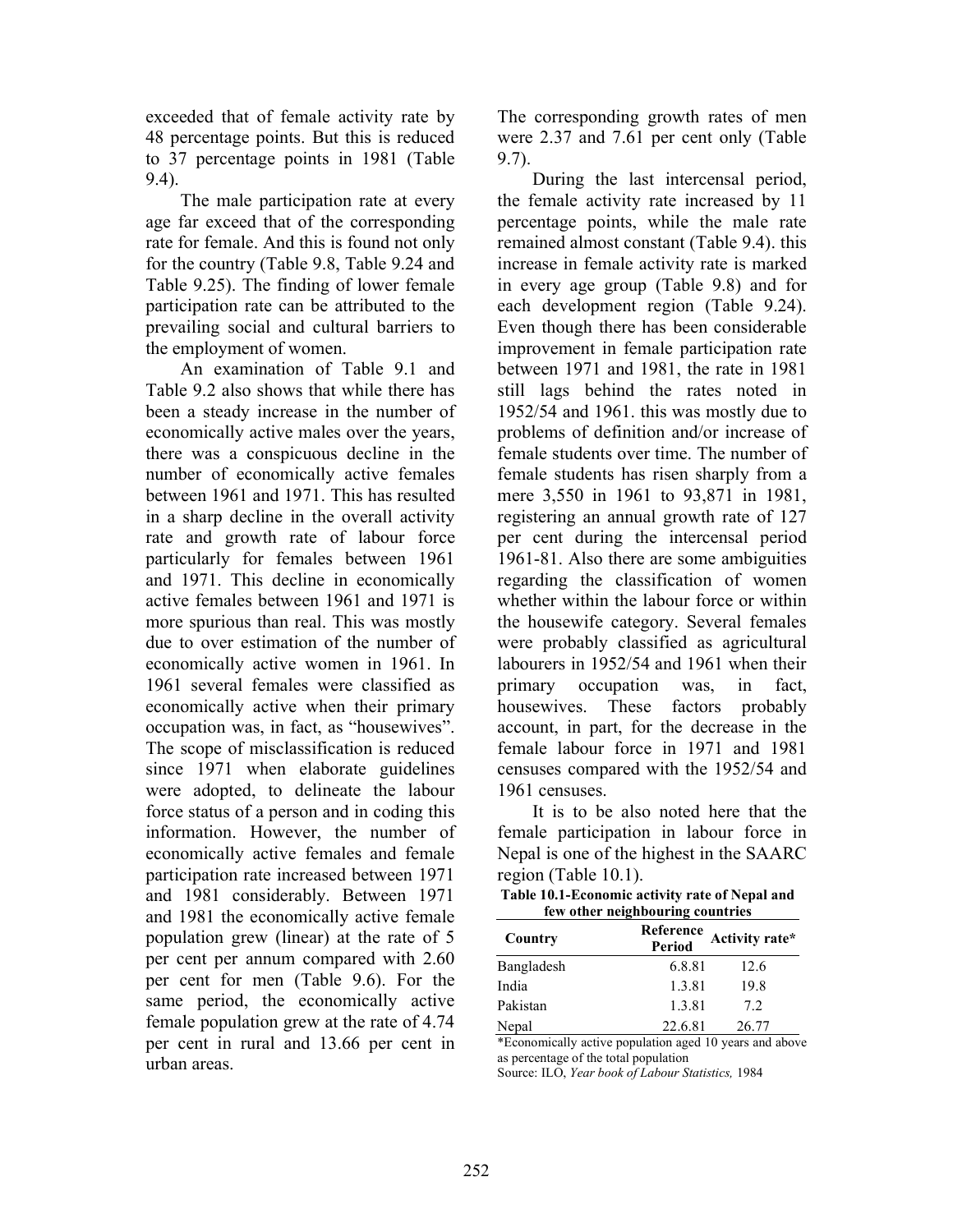exceeded that of female activity rate by 48 percentage points. But this is reduced to 37 percentage points in 1981 (Table 9.4).

 The male participation rate at every age far exceed that of the corresponding rate for female. And this is found not only for the country (Table 9.8, Table 9.24 and Table 9.25). The finding of lower female participation rate can be attributed to the prevailing social and cultural barriers to the employment of women.

 An examination of Table 9.1 and Table 9.2 also shows that while there has been a steady increase in the number of economically active males over the years, there was a conspicuous decline in the number of economically active females between 1961 and 1971. This has resulted in a sharp decline in the overall activity rate and growth rate of labour force particularly for females between 1961 and 1971. This decline in economically active females between 1961 and 1971 is more spurious than real. This was mostly due to over estimation of the number of economically active women in 1961. In 1961 several females were classified as economically active when their primary occupation was, in fact, as "housewives". The scope of misclassification is reduced since 1971 when elaborate guidelines were adopted, to delineate the labour force status of a person and in coding this information. However, the number of economically active females and female participation rate increased between 1971 and 1981 considerably. Between 1971 and 1981 the economically active female population grew (linear) at the rate of 5 per cent per annum compared with 2.60 per cent for men (Table 9.6). For the same period, the economically active female population grew at the rate of 4.74 per cent in rural and 13.66 per cent in urban areas.

The corresponding growth rates of men were 2.37 and 7.61 per cent only (Table 9.7).

 During the last intercensal period, the female activity rate increased by 11 percentage points, while the male rate remained almost constant (Table 9.4). this increase in female activity rate is marked in every age group (Table 9.8) and for each development region (Table 9.24). Even though there has been considerable improvement in female participation rate between 1971 and 1981, the rate in 1981 still lags behind the rates noted in 1952/54 and 1961. this was mostly due to problems of definition and/or increase of female students over time. The number of female students has risen sharply from a mere 3,550 in 1961 to 93,871 in 1981, registering an annual growth rate of 127 per cent during the intercensal period 1961-81. Also there are some ambiguities regarding the classification of women whether within the labour force or within the housewife category. Several females were probably classified as agricultural labourers in 1952/54 and 1961 when their primary occupation was, in fact, housewives. These factors probably account, in part, for the decrease in the female labour force in 1971 and 1981 censuses compared with the 1952/54 and 1961 censuses.

 It is to be also noted here that the female participation in labour force in Nepal is one of the highest in the SAARC region (Table 10.1).

| Table 10.1-Economic activity rate of Nepal and |  |
|------------------------------------------------|--|
| few other neighbouring countries               |  |

| itw other heighbouring countries |                            |                |  |  |
|----------------------------------|----------------------------|----------------|--|--|
| Country                          | Reference<br><b>Period</b> | Activity rate* |  |  |
| Bangladesh                       | 6.8.81                     | 12.6           |  |  |
| India                            | 1.3.81                     | 19.8           |  |  |
| Pakistan                         | 1.3.81                     | 7.2            |  |  |
| Nepal                            | 22.6.81                    | 26.77          |  |  |

\*Economically active population aged 10 years and above as percentage of the total population

Source: ILO, Year book of Labour Statistics, 1984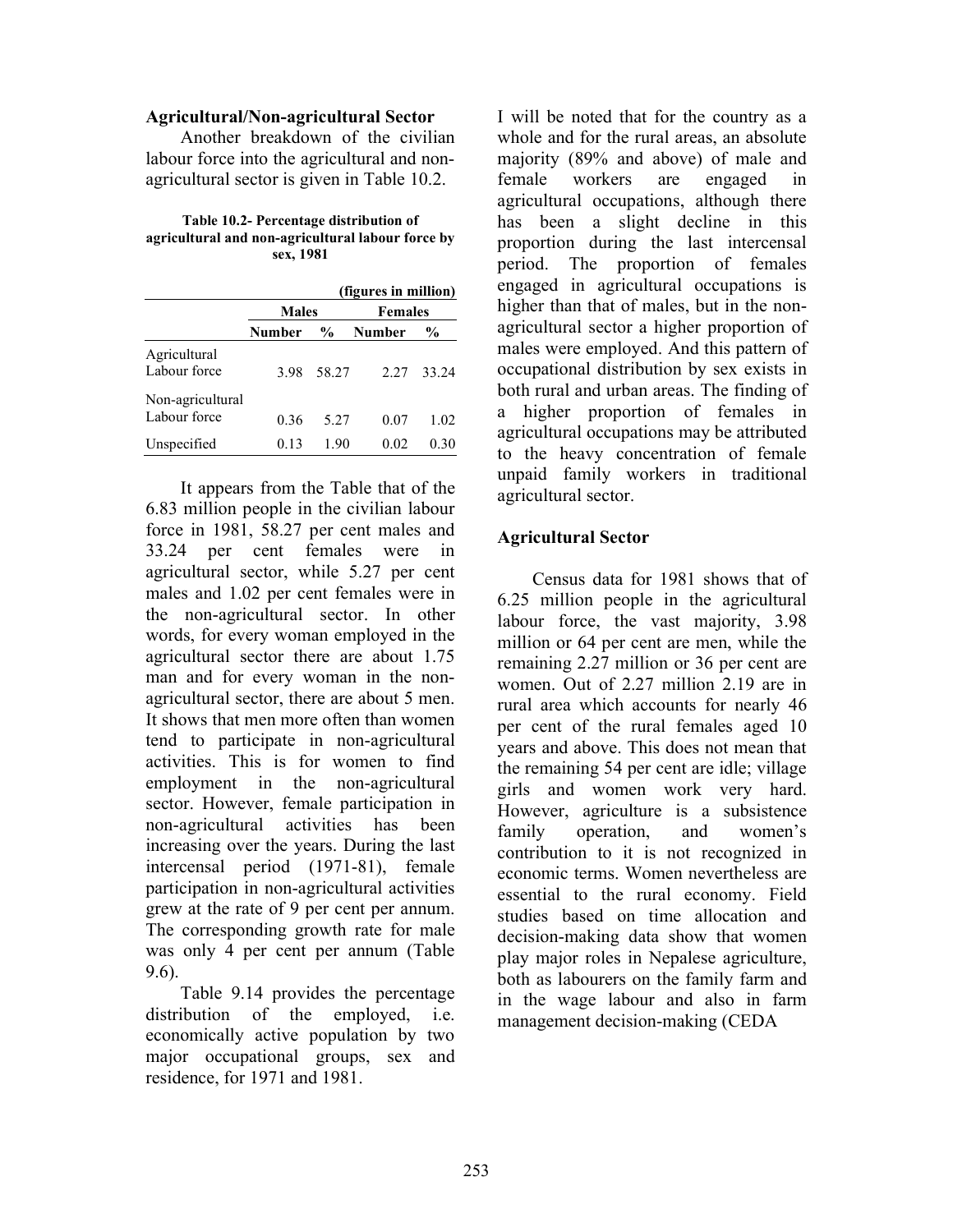#### Agricultural/Non-agricultural Sector

 Another breakdown of the civilian labour force into the agricultural and nonagricultural sector is given in Table 10.2.

Table 10.2- Percentage distribution of agricultural and non-agricultural labour force by sex, 1981

|                                  |               |       | (figures in million) |               |
|----------------------------------|---------------|-------|----------------------|---------------|
|                                  | <b>Males</b>  |       | <b>Females</b>       |               |
|                                  | <b>Number</b> | $\%$  | Number               | $\frac{6}{9}$ |
| Agricultural<br>Labour force     | 3.98          | 58.27 | 2.27                 | 33.24         |
| Non-agricultural<br>Labour force | 0.36          | 5.27  | 0.07                 | 1.02          |
| Unspecified                      | 0.13          | 1.90  | 0.02                 | 0.30          |

 It appears from the Table that of the 6.83 million people in the civilian labour force in 1981, 58.27 per cent males and 33.24 per cent females were in agricultural sector, while 5.27 per cent males and 1.02 per cent females were in the non-agricultural sector. In other words, for every woman employed in the agricultural sector there are about 1.75 man and for every woman in the nonagricultural sector, there are about 5 men. It shows that men more often than women tend to participate in non-agricultural activities. This is for women to find employment in the non-agricultural sector. However, female participation in non-agricultural activities has been increasing over the years. During the last intercensal period (1971-81), female participation in non-agricultural activities grew at the rate of 9 per cent per annum. The corresponding growth rate for male was only 4 per cent per annum (Table 9.6).

 Table 9.14 provides the percentage distribution of the employed, i.e. economically active population by two major occupational groups, sex and residence, for 1971 and 1981.

I will be noted that for the country as a whole and for the rural areas, an absolute majority (89% and above) of male and female workers are engaged in agricultural occupations, although there has been a slight decline in this proportion during the last intercensal period. The proportion of females engaged in agricultural occupations is higher than that of males, but in the nonagricultural sector a higher proportion of males were employed. And this pattern of occupational distribution by sex exists in both rural and urban areas. The finding of a higher proportion of females in agricultural occupations may be attributed to the heavy concentration of female unpaid family workers in traditional agricultural sector.

### Agricultural Sector

 Census data for 1981 shows that of 6.25 million people in the agricultural labour force, the vast majority, 3.98 million or 64 per cent are men, while the remaining 2.27 million or 36 per cent are women. Out of 2.27 million 2.19 are in rural area which accounts for nearly 46 per cent of the rural females aged 10 years and above. This does not mean that the remaining 54 per cent are idle; village girls and women work very hard. However, agriculture is a subsistence family operation, and women's contribution to it is not recognized in economic terms. Women nevertheless are essential to the rural economy. Field studies based on time allocation and decision-making data show that women play major roles in Nepalese agriculture, both as labourers on the family farm and in the wage labour and also in farm management decision-making (CEDA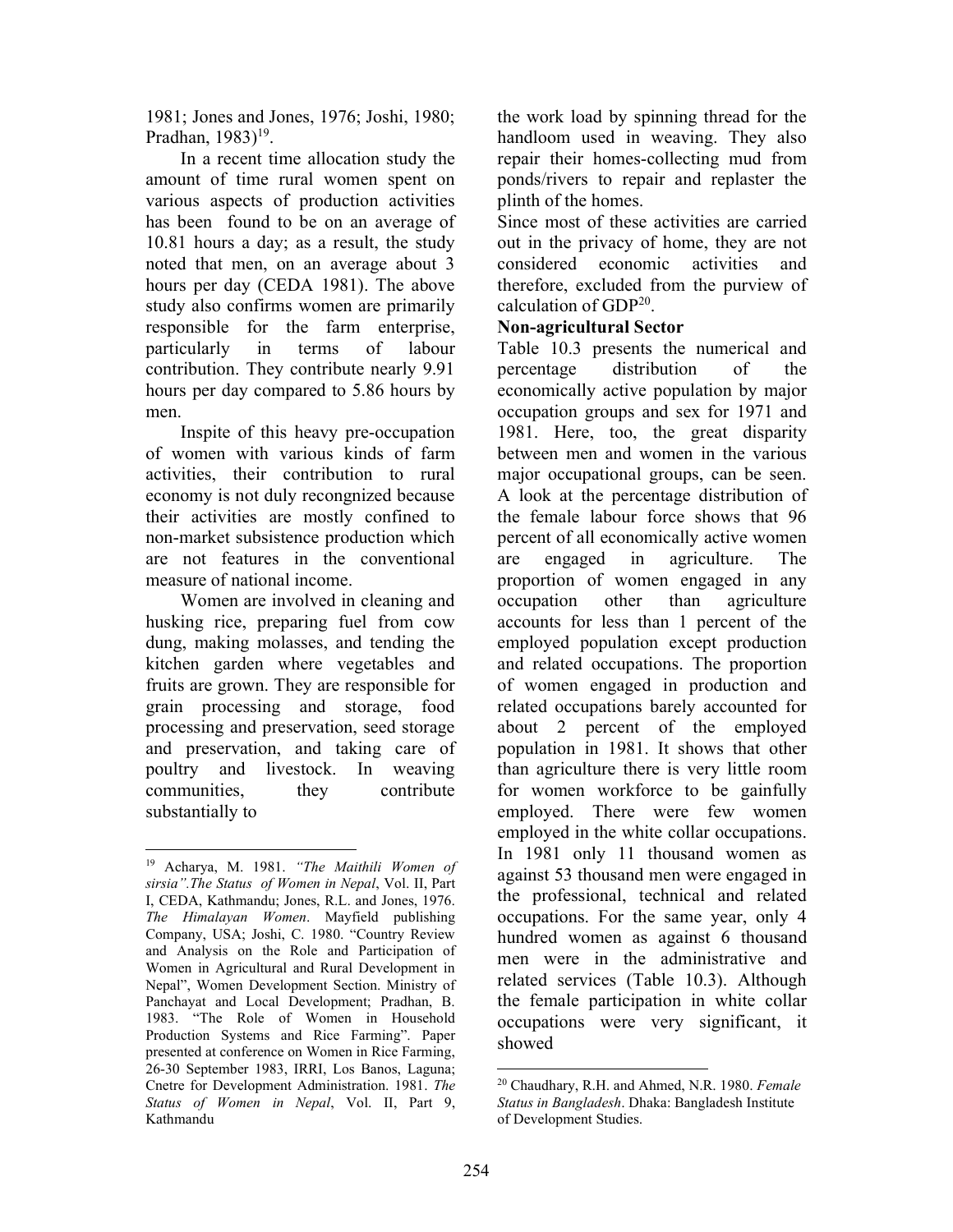1981; Jones and Jones, 1976; Joshi, 1980; Pradhan,  $1983$ <sup>19</sup>.

 In a recent time allocation study the amount of time rural women spent on various aspects of production activities has been found to be on an average of 10.81 hours a day; as a result, the study noted that men, on an average about 3 hours per day (CEDA 1981). The above study also confirms women are primarily responsible for the farm enterprise, particularly in terms of labour contribution. They contribute nearly 9.91 hours per day compared to 5.86 hours by men.

 Inspite of this heavy pre-occupation of women with various kinds of farm activities, their contribution to rural economy is not duly recongnized because their activities are mostly confined to non-market subsistence production which are not features in the conventional measure of national income.

 Women are involved in cleaning and husking rice, preparing fuel from cow dung, making molasses, and tending the kitchen garden where vegetables and fruits are grown. They are responsible for grain processing and storage, food processing and preservation, seed storage and preservation, and taking care of poultry and livestock. In weaving communities, they contribute substantially to

the work load by spinning thread for the handloom used in weaving. They also repair their homes-collecting mud from ponds/rivers to repair and replaster the plinth of the homes.

Since most of these activities are carried out in the privacy of home, they are not considered economic activities and therefore, excluded from the purview of calculation of GDP<sup>20</sup>.

## Non-agricultural Sector

Table 10.3 presents the numerical and percentage distribution of the economically active population by major occupation groups and sex for 1971 and 1981. Here, too, the great disparity between men and women in the various major occupational groups, can be seen. A look at the percentage distribution of the female labour force shows that 96 percent of all economically active women are engaged in agriculture. The proportion of women engaged in any occupation other than agriculture accounts for less than 1 percent of the employed population except production and related occupations. The proportion of women engaged in production and related occupations barely accounted for about 2 percent of the employed population in 1981. It shows that other than agriculture there is very little room for women workforce to be gainfully employed. There were few women employed in the white collar occupations. In 1981 only 11 thousand women as against 53 thousand men were engaged in the professional, technical and related occupations. For the same year, only 4 hundred women as against 6 thousand men were in the administrative and related services (Table 10.3). Although the female participation in white collar occupations were very significant, it showed

<sup>19</sup> Acharya, M. 1981. "The Maithili Women of sirsia".The Status of Women in Nepal, Vol. II, Part I, CEDA, Kathmandu; Jones, R.L. and Jones, 1976. The Himalayan Women. Mayfield publishing Company, USA; Joshi, C. 1980. "Country Review and Analysis on the Role and Participation of Women in Agricultural and Rural Development in Nepal", Women Development Section. Ministry of Panchayat and Local Development; Pradhan, B. 1983. "The Role of Women in Household Production Systems and Rice Farming". Paper presented at conference on Women in Rice Farming, 26-30 September 1983, IRRI, Los Banos, Laguna; Cnetre for Development Administration. 1981. The Status of Women in Nepal, Vol. II, Part 9, Kathmandu

<sup>&</sup>lt;sup>20</sup> Chaudhary, R.H. and Ahmed, N.R. 1980. Female Status in Bangladesh. Dhaka: Bangladesh Institute of Development Studies.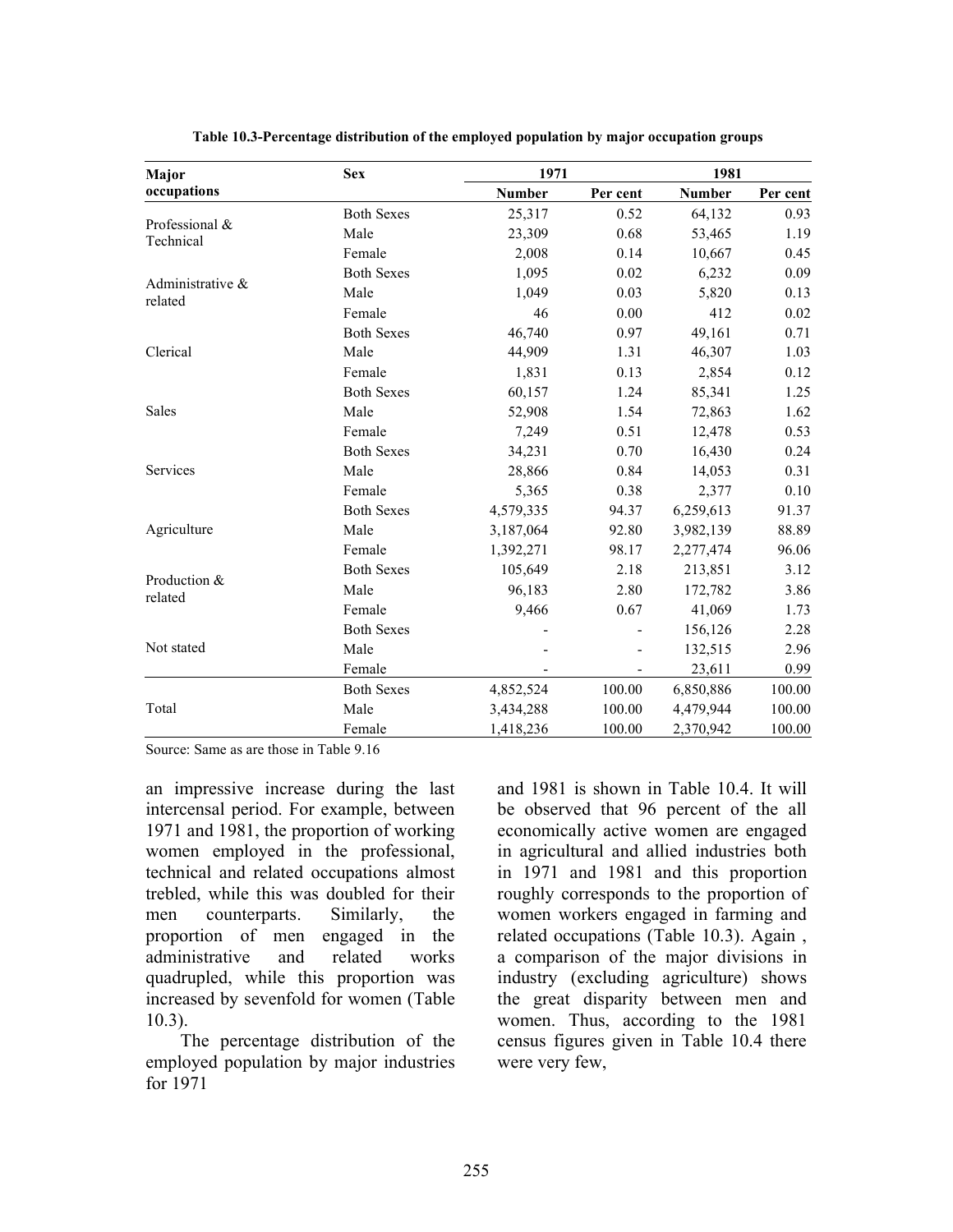| Major                       | <b>Sex</b>        | 1971          |          | 1981          |          |
|-----------------------------|-------------------|---------------|----------|---------------|----------|
| occupations                 |                   | <b>Number</b> | Per cent | <b>Number</b> | Per cent |
| Professional &<br>Technical | <b>Both Sexes</b> | 25,317        | 0.52     | 64,132        | 0.93     |
|                             | Male              | 23,309        | 0.68     | 53,465        | 1.19     |
|                             | Female            | 2,008         | 0.14     | 10,667        | 0.45     |
|                             | <b>Both Sexes</b> | 1,095         | 0.02     | 6,232         | 0.09     |
| Administrative &<br>related | Male              | 1,049         | 0.03     | 5,820         | 0.13     |
|                             | Female            | 46            | 0.00     | 412           | 0.02     |
|                             | <b>Both Sexes</b> | 46,740        | 0.97     | 49,161        | 0.71     |
| Clerical                    | Male              | 44,909        | 1.31     | 46,307        | 1.03     |
|                             | Female            | 1,831         | 0.13     | 2,854         | 0.12     |
|                             | <b>Both Sexes</b> | 60,157        | 1.24     | 85,341        | 1.25     |
| Sales                       | Male              | 52,908        | 1.54     | 72,863        | 1.62     |
|                             | Female            | 7,249         | 0.51     | 12,478        | 0.53     |
|                             | <b>Both Sexes</b> | 34,231        | 0.70     | 16,430        | 0.24     |
| Services                    | Male              | 28,866        | 0.84     | 14,053        | 0.31     |
|                             | Female            | 5,365         | 0.38     | 2,377         | 0.10     |
|                             | <b>Both Sexes</b> | 4,579,335     | 94.37    | 6,259,613     | 91.37    |
| Agriculture                 | Male              | 3,187,064     | 92.80    | 3,982,139     | 88.89    |
|                             | Female            | 1,392,271     | 98.17    | 2,277,474     | 96.06    |
| Production &<br>related     | <b>Both Sexes</b> | 105,649       | 2.18     | 213,851       | 3.12     |
|                             | Male              | 96,183        | 2.80     | 172,782       | 3.86     |
|                             | Female            | 9,466         | 0.67     | 41,069        | 1.73     |
| Not stated                  | <b>Both Sexes</b> |               |          | 156,126       | 2.28     |
|                             | Male              |               |          | 132,515       | 2.96     |
|                             | Female            |               |          | 23,611        | 0.99     |
| Total                       | <b>Both Sexes</b> | 4,852,524     | 100.00   | 6,850,886     | 100.00   |
|                             | Male              | 3,434,288     | 100.00   | 4,479,944     | 100.00   |
|                             | Female            | 1,418,236     | 100.00   | 2,370,942     | 100.00   |

Table 10.3-Percentage distribution of the employed population by major occupation groups

Source: Same as are those in Table 9.16

an impressive increase during the last intercensal period. For example, between 1971 and 1981, the proportion of working women employed in the professional, technical and related occupations almost trebled, while this was doubled for their men counterparts. Similarly, the proportion of men engaged in the administrative and related works quadrupled, while this proportion was increased by sevenfold for women (Table 10.3).

 The percentage distribution of the employed population by major industries for 1971

and 1981 is shown in Table 10.4. It will be observed that 96 percent of the all economically active women are engaged in agricultural and allied industries both in 1971 and 1981 and this proportion roughly corresponds to the proportion of women workers engaged in farming and related occupations (Table 10.3). Again , a comparison of the major divisions in industry (excluding agriculture) shows the great disparity between men and women. Thus, according to the 1981 census figures given in Table 10.4 there were very few,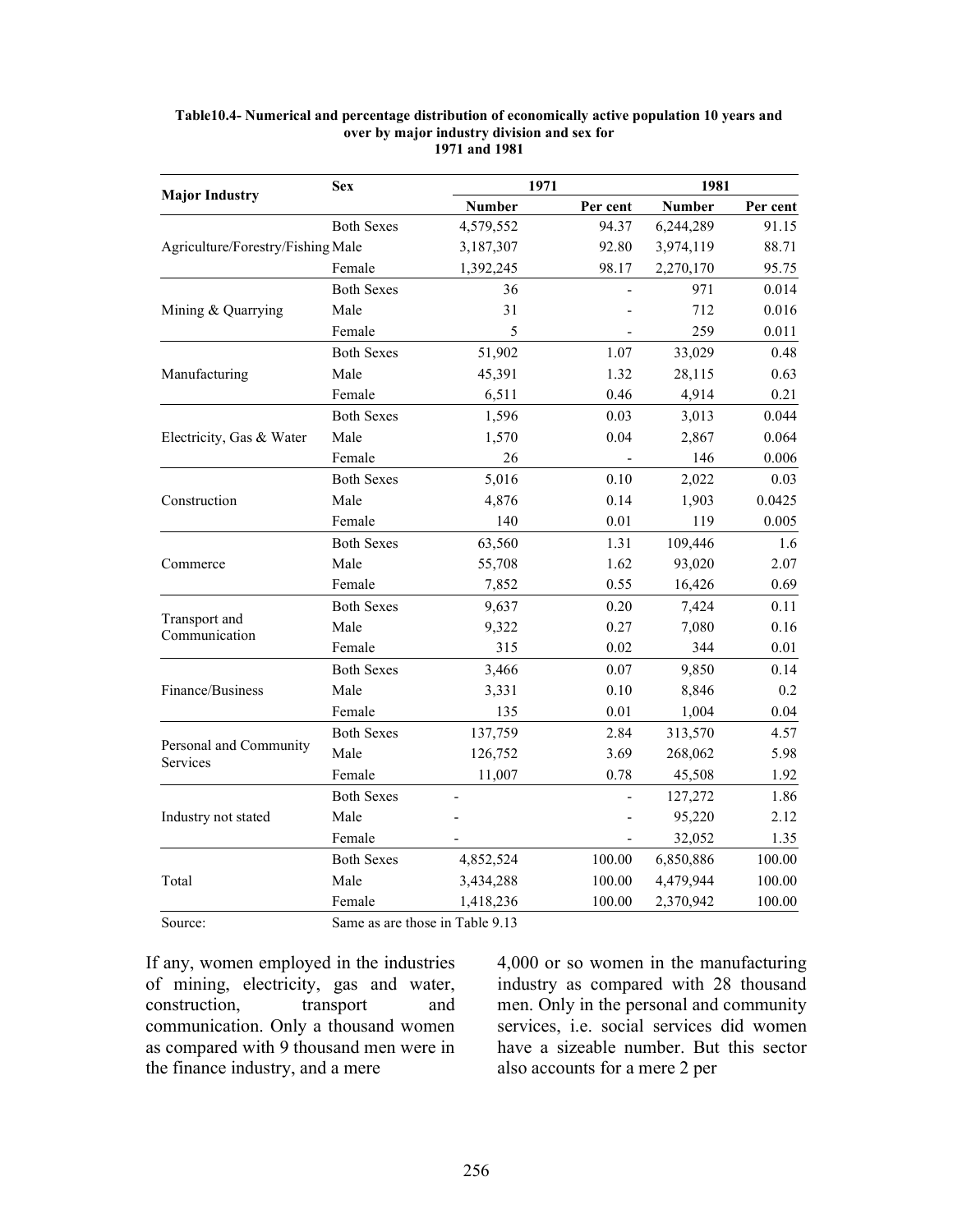|                                    | <b>Sex</b>        | 1971          |          | 1981          |          |
|------------------------------------|-------------------|---------------|----------|---------------|----------|
| <b>Major Industry</b>              |                   | <b>Number</b> | Per cent | <b>Number</b> | Per cent |
|                                    | <b>Both Sexes</b> | 4,579,552     | 94.37    | 6,244,289     | 91.15    |
| Agriculture/Forestry/Fishing Male  |                   | 3,187,307     | 92.80    | 3,974,119     | 88.71    |
|                                    | Female            | 1,392,245     | 98.17    | 2,270,170     | 95.75    |
|                                    | <b>Both Sexes</b> | 36            |          | 971           | 0.014    |
| Mining & Quarrying                 | Male              | 31            |          | 712           | 0.016    |
|                                    | Female            | 5             |          | 259           | 0.011    |
|                                    | <b>Both Sexes</b> | 51,902        | 1.07     | 33,029        | 0.48     |
| Manufacturing                      | Male              | 45,391        | 1.32     | 28,115        | 0.63     |
|                                    | Female            | 6,511         | 0.46     | 4,914         | 0.21     |
|                                    | <b>Both Sexes</b> | 1,596         | 0.03     | 3,013         | 0.044    |
| Electricity, Gas & Water           | Male              | 1,570         | 0.04     | 2,867         | 0.064    |
|                                    | Female            | 26            |          | 146           | 0.006    |
|                                    | <b>Both Sexes</b> | 5,016         | 0.10     | 2,022         | 0.03     |
| Construction                       | Male              | 4,876         | 0.14     | 1,903         | 0.0425   |
|                                    | Female            | 140           | 0.01     | 119           | 0.005    |
|                                    | <b>Both Sexes</b> | 63,560        | 1.31     | 109,446       | 1.6      |
| Commerce                           | Male              | 55,708        | 1.62     | 93,020        | 2.07     |
|                                    | Female            | 7,852         | 0.55     | 16,426        | 0.69     |
|                                    | <b>Both Sexes</b> | 9,637         | 0.20     | 7,424         | 0.11     |
| Transport and<br>Communication     | Male              | 9,322         | 0.27     | 7,080         | 0.16     |
|                                    | Female            | 315           | 0.02     | 344           | 0.01     |
|                                    | <b>Both Sexes</b> | 3,466         | 0.07     | 9,850         | 0.14     |
| Finance/Business                   | Male              | 3,331         | 0.10     | 8,846         | 0.2      |
|                                    | Female            | 135           | 0.01     | 1,004         | 0.04     |
|                                    | <b>Both Sexes</b> | 137,759       | 2.84     | 313,570       | 4.57     |
| Personal and Community<br>Services | Male              | 126,752       | 3.69     | 268,062       | 5.98     |
|                                    | Female            | 11,007        | 0.78     | 45,508        | 1.92     |
|                                    | <b>Both Sexes</b> |               |          | 127,272       | 1.86     |
| Industry not stated                | Male              |               |          | 95,220        | 2.12     |
|                                    | Female            |               |          | 32,052        | 1.35     |
|                                    | <b>Both Sexes</b> | 4,852,524     | 100.00   | 6,850,886     | 100.00   |
| Total                              | Male              | 3,434,288     | 100.00   | 4,479,944     | 100.00   |
|                                    | Female            | 1,418,236     | 100.00   | 2,370,942     | 100.00   |
|                                    |                   |               |          |               |          |

#### Table10.4- Numerical and percentage distribution of economically active population 10 years and over by major industry division and sex for 1971 and 1981

Source: Same as are those in Table 9.13

If any, women employed in the industries of mining, electricity, gas and water, construction, transport and communication. Only a thousand women as compared with 9 thousand men were in the finance industry, and a mere

4,000 or so women in the manufacturing industry as compared with 28 thousand men. Only in the personal and community services, i.e. social services did women have a sizeable number. But this sector also accounts for a mere 2 per